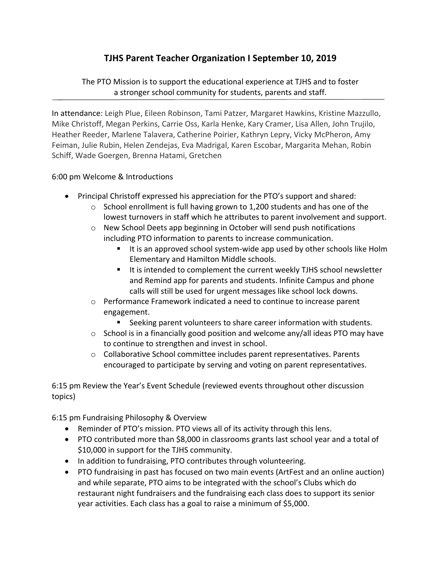## **TJHS Parent Teacher Organization I September 10, 2019**

The PTO Mission is to support the educational experience at TJHS and to foster a stronger school community for students, parents and staff.

In attendance: Leigh Plue, Eileen Robinson, Tami Patzer, Margaret Hawkins, Kristine Mazzullo, Mike Christoff, Megan Perkins, Carrie Oss, Karla Henke, Kary Cramer, Lisa Allen, John Trujilo, Heather Reeder, Marlene Talavera, Catherine Poirier, Kathryn Lepry, Vicky McPheron, Amy Feiman, Julie Rubin, Helen Zendejas, Eva Madrigal, Karen Escobar, Margarita Mehan, Robin Schiff, Wade Goergen, Brenna Hatami, Gretchen

## 6:00 pm Welcome & Introductions

- Principal Christoff expressed his appreciation for the PTO's support and shared:
	- $\circ$  School enrollment is full having grown to 1,200 students and has one of the lowest turnovers in staff which he attributes to parent involvement and support.
	- $\circ$  New School Deets app beginning in October will send push notifications including PTO information to parents to increase communication.
		- It is an approved school system‐wide app used by other schools like Holm Elementary and Hamilton Middle schools.
		- It is intended to complement the current weekly TJHS school newsletter and Remind app for parents and students. Infinite Campus and phone calls will still be used for urgent messages like school lock downs.
	- $\circ$  Performance Framework indicated a need to continue to increase parent engagement.
		- Seeking parent volunteers to share career information with students.
	- o School is in a financially good position and welcome any/all ideas PTO may have to continue to strengthen and invest in school.
	- o Collaborative School committee includes parent representatives. Parents encouraged to participate by serving and voting on parent representatives.

6:15 pm Review the Year's Event Schedule (reviewed events throughout other discussion topics)

6:15 pm Fundraising Philosophy & Overview

- Reminder of PTO's mission. PTO views all of its activity through this lens.
- PTO contributed more than \$8,000 in classrooms grants last school year and a total of \$10,000 in support for the TJHS community.
- In addition to fundraising, PTO contributes through volunteering.
- PTO fundraising in past has focused on two main events (ArtFest and an online auction) and while separate, PTO aims to be integrated with the school's Clubs which do restaurant night fundraisers and the fundraising each class does to support its senior year activities. Each class has a goal to raise a minimum of \$5,000.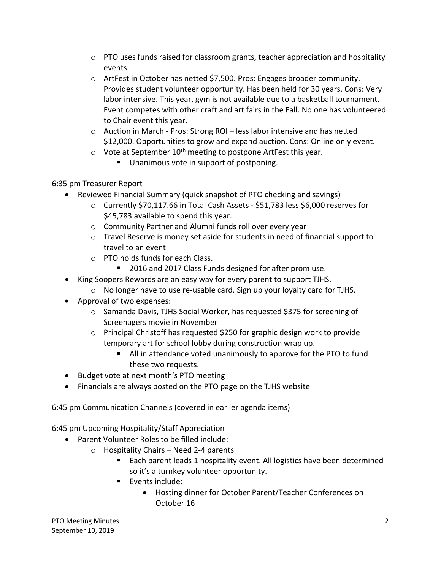- $\circ$  PTO uses funds raised for classroom grants, teacher appreciation and hospitality events.
- o ArtFest in October has netted \$7,500. Pros: Engages broader community. Provides student volunteer opportunity. Has been held for 30 years. Cons: Very labor intensive. This year, gym is not available due to a basketball tournament. Event competes with other craft and art fairs in the Fall. No one has volunteered to Chair event this year.
- o Auction in March ‐ Pros: Strong ROI less labor intensive and has netted \$12,000. Opportunities to grow and expand auction. Cons: Online only event.
- $\circ$  Vote at September 10<sup>th</sup> meeting to postpone ArtFest this year.
	- **Unanimous vote in support of postponing.**

## 6:35 pm Treasurer Report

- Reviewed Financial Summary (quick snapshot of PTO checking and savings)
	- o Currently \$70,117.66 in Total Cash Assets ‐ \$51,783 less \$6,000 reserves for \$45,783 available to spend this year.
	- o Community Partner and Alumni funds roll over every year
	- o Travel Reserve is money set aside for students in need of financial support to travel to an event
	- o PTO holds funds for each Class.
		- 2016 and 2017 Class Funds designed for after prom use.
- King Soopers Rewards are an easy way for every parent to support TJHS.
	- o No longer have to use re‐usable card. Sign up your loyalty card for TJHS.
- Approval of two expenses:
	- o Samanda Davis, TJHS Social Worker, has requested \$375 for screening of Screenagers movie in November
	- $\circ$  Principal Christoff has requested \$250 for graphic design work to provide temporary art for school lobby during construction wrap up.
		- All in attendance voted unanimously to approve for the PTO to fund these two requests.
- Budget vote at next month's PTO meeting
- Financials are always posted on the PTO page on the TJHS website

6:45 pm Communication Channels (covered in earlier agenda items)

6:45 pm Upcoming Hospitality/Staff Appreciation

- Parent Volunteer Roles to be filled include:
	- o Hospitality Chairs Need 2‐4 parents
		- Each parent leads 1 hospitality event. All logistics have been determined so it's a turnkey volunteer opportunity.
		- **Exents include:** 
			- Hosting dinner for October Parent/Teacher Conferences on October 16